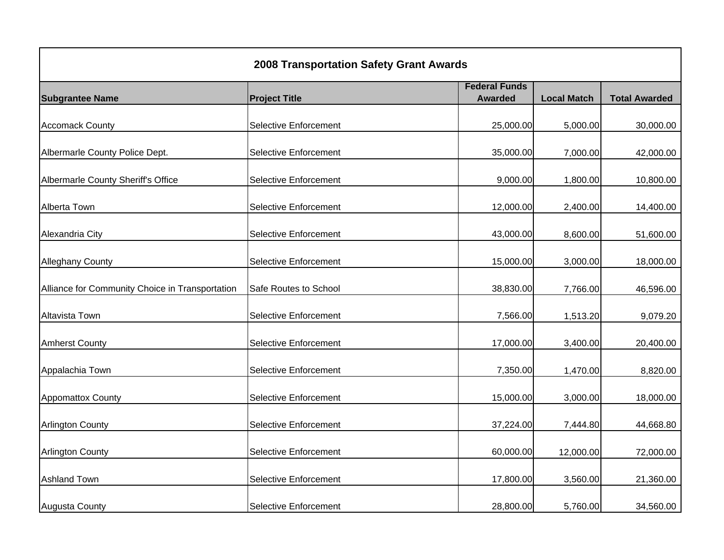| <b>2008 Transportation Safety Grant Awards</b>  |                              |                      |                    |                      |
|-------------------------------------------------|------------------------------|----------------------|--------------------|----------------------|
|                                                 |                              | <b>Federal Funds</b> |                    |                      |
| <b>Subgrantee Name</b>                          | <b>Project Title</b>         | <b>Awarded</b>       | <b>Local Match</b> | <b>Total Awarded</b> |
| <b>Accomack County</b>                          | Selective Enforcement        | 25,000.00            | 5,000.00           | 30,000.00            |
| Albermarle County Police Dept.                  | <b>Selective Enforcement</b> | 35,000.00            | 7,000.00           | 42,000.00            |
| Albermarle County Sheriff's Office              | <b>Selective Enforcement</b> | 9,000.00             | 1,800.00           | 10,800.00            |
| Alberta Town                                    | <b>Selective Enforcement</b> | 12,000.00            | 2,400.00           | 14,400.00            |
| Alexandria City                                 | <b>Selective Enforcement</b> | 43,000.00            | 8,600.00           | 51,600.00            |
| <b>Alleghany County</b>                         | <b>Selective Enforcement</b> | 15,000.00            | 3,000.00           | 18,000.00            |
| Alliance for Community Choice in Transportation | Safe Routes to School        | 38,830.00            | 7,766.00           | 46,596.00            |
| Altavista Town                                  | <b>Selective Enforcement</b> | 7,566.00             | 1,513.20           | 9,079.20             |
| <b>Amherst County</b>                           | <b>Selective Enforcement</b> | 17,000.00            | 3,400.00           | 20,400.00            |
| Appalachia Town                                 | <b>Selective Enforcement</b> | 7,350.00             | 1,470.00           | 8,820.00             |
| <b>Appomattox County</b>                        | <b>Selective Enforcement</b> | 15,000.00            | 3,000.00           | 18,000.00            |
| <b>Arlington County</b>                         | Selective Enforcement        | 37,224.00            | 7,444.80           | 44,668.80            |
| <b>Arlington County</b>                         | <b>Selective Enforcement</b> | 60,000.00            | 12,000.00          | 72,000.00            |
| <b>Ashland Town</b>                             | <b>Selective Enforcement</b> | 17,800.00            | 3,560.00           | 21,360.00            |
| <b>Augusta County</b>                           | <b>Selective Enforcement</b> | 28,800.00            | 5,760.00           | 34,560.00            |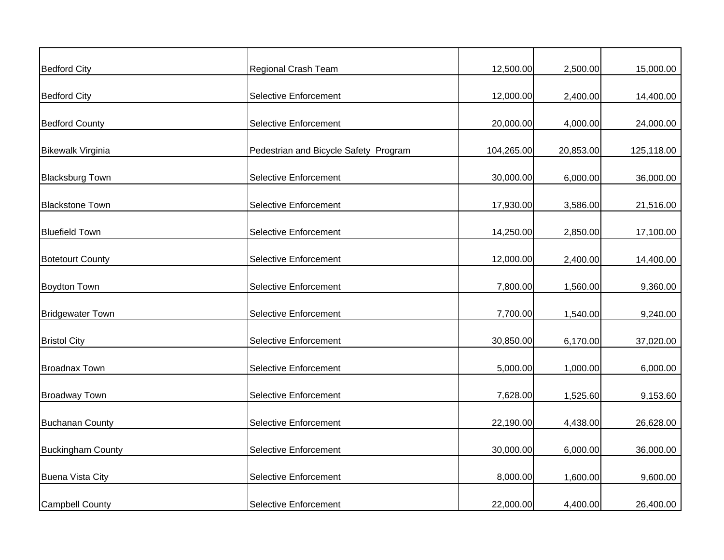| <b>Bedford City</b>      | Regional Crash Team                   | 12,500.00  | 2,500.00  | 15,000.00  |
|--------------------------|---------------------------------------|------------|-----------|------------|
|                          |                                       |            |           |            |
| <b>Bedford City</b>      | <b>Selective Enforcement</b>          | 12,000.00  | 2,400.00  | 14,400.00  |
| <b>Bedford County</b>    | <b>Selective Enforcement</b>          | 20,000.00  | 4,000.00  | 24,000.00  |
| <b>Bikewalk Virginia</b> | Pedestrian and Bicycle Safety Program | 104,265.00 | 20,853.00 | 125,118.00 |
| <b>Blacksburg Town</b>   | <b>Selective Enforcement</b>          | 30,000.00  | 6,000.00  | 36,000.00  |
| <b>Blackstone Town</b>   | <b>Selective Enforcement</b>          | 17,930.00  | 3,586.00  | 21,516.00  |
| <b>Bluefield Town</b>    | <b>Selective Enforcement</b>          | 14,250.00  | 2,850.00  | 17,100.00  |
| <b>Botetourt County</b>  | <b>Selective Enforcement</b>          | 12,000.00  | 2,400.00  | 14,400.00  |
| Boydton Town             | <b>Selective Enforcement</b>          | 7,800.00   | 1,560.00  | 9,360.00   |
| <b>Bridgewater Town</b>  | <b>Selective Enforcement</b>          | 7,700.00   | 1,540.00  | 9,240.00   |
| <b>Bristol City</b>      | <b>Selective Enforcement</b>          | 30,850.00  | 6,170.00  | 37,020.00  |
| <b>Broadnax Town</b>     | <b>Selective Enforcement</b>          | 5,000.00   | 1,000.00  | 6,000.00   |
| <b>Broadway Town</b>     | <b>Selective Enforcement</b>          | 7,628.00   | 1,525.60  | 9,153.60   |
| <b>Buchanan County</b>   | <b>Selective Enforcement</b>          | 22,190.00  | 4,438.00  | 26,628.00  |
| <b>Buckingham County</b> | <b>Selective Enforcement</b>          | 30,000.00  | 6,000.00  | 36,000.00  |
| <b>Buena Vista City</b>  | <b>Selective Enforcement</b>          | 8,000.00   | 1,600.00  | 9,600.00   |
| <b>Campbell County</b>   | <b>Selective Enforcement</b>          | 22,000.00  | 4,400.00  | 26,400.00  |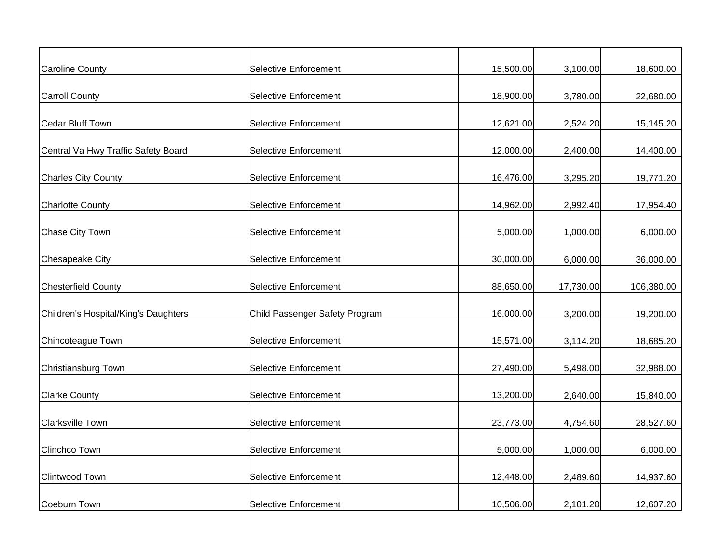| <b>Caroline County</b>               | <b>Selective Enforcement</b>   | 15,500.00 | 3,100.00  | 18,600.00  |
|--------------------------------------|--------------------------------|-----------|-----------|------------|
| <b>Carroll County</b>                | <b>Selective Enforcement</b>   | 18,900.00 | 3,780.00  | 22,680.00  |
| <b>Cedar Bluff Town</b>              | <b>Selective Enforcement</b>   | 12,621.00 | 2,524.20  | 15,145.20  |
| Central Va Hwy Traffic Safety Board  | <b>Selective Enforcement</b>   | 12,000.00 | 2,400.00  | 14,400.00  |
| <b>Charles City County</b>           | <b>Selective Enforcement</b>   | 16,476.00 | 3,295.20  | 19,771.20  |
| <b>Charlotte County</b>              | <b>Selective Enforcement</b>   | 14,962.00 | 2,992.40  | 17,954.40  |
| Chase City Town                      | <b>Selective Enforcement</b>   | 5,000.00  | 1,000.00  | 6,000.00   |
| Chesapeake City                      | <b>Selective Enforcement</b>   | 30,000.00 | 6,000.00  | 36,000.00  |
| <b>Chesterfield County</b>           | Selective Enforcement          | 88,650.00 | 17,730.00 | 106,380.00 |
| Children's Hospital/King's Daughters | Child Passenger Safety Program | 16,000.00 | 3,200.00  | 19,200.00  |
| Chincoteague Town                    | <b>Selective Enforcement</b>   | 15,571.00 | 3,114.20  | 18,685.20  |
| Christiansburg Town                  | <b>Selective Enforcement</b>   | 27,490.00 | 5,498.00  | 32,988.00  |
| <b>Clarke County</b>                 | <b>Selective Enforcement</b>   | 13,200.00 | 2,640.00  | 15,840.00  |
| <b>Clarksville Town</b>              | <b>Selective Enforcement</b>   | 23,773.00 | 4,754.60  | 28,527.60  |
| Clinchco Town                        | <b>Selective Enforcement</b>   | 5,000.00  | 1,000.00  | 6,000.00   |
| <b>Clintwood Town</b>                | <b>Selective Enforcement</b>   | 12,448.00 | 2,489.60  | 14,937.60  |
| <b>Coeburn Town</b>                  | <b>Selective Enforcement</b>   | 10,506.00 | 2,101.20  | 12,607.20  |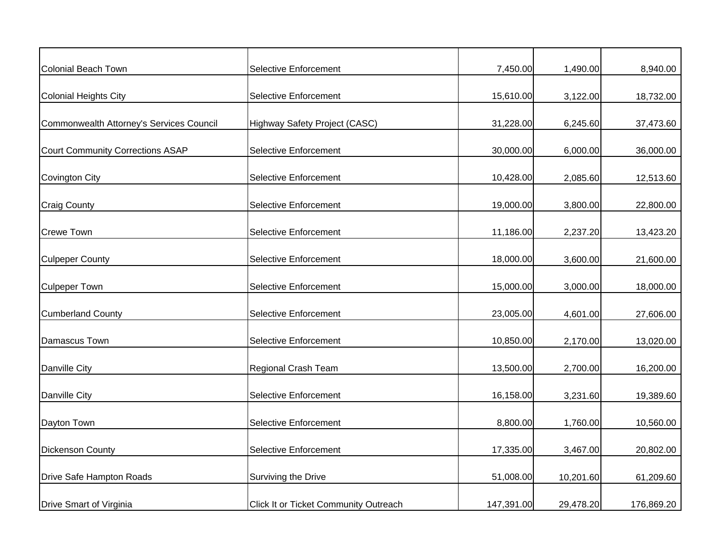| Colonial Beach Town                      | Selective Enforcement                        | 7,450.00   | 1,490.00  | 8,940.00   |
|------------------------------------------|----------------------------------------------|------------|-----------|------------|
|                                          |                                              |            |           |            |
| <b>Colonial Heights City</b>             | <b>Selective Enforcement</b>                 | 15,610.00  | 3,122.00  | 18,732.00  |
| Commonwealth Attorney's Services Council | Highway Safety Project (CASC)                | 31,228.00  | 6,245.60  | 37,473.60  |
| Court Community Corrections ASAP         | <b>Selective Enforcement</b>                 | 30,000.00  | 6,000.00  | 36,000.00  |
| <b>Covington City</b>                    | <b>Selective Enforcement</b>                 | 10,428.00  | 2,085.60  | 12,513.60  |
| <b>Craig County</b>                      | <b>Selective Enforcement</b>                 | 19,000.00  | 3,800.00  | 22,800.00  |
| <b>Crewe Town</b>                        | <b>Selective Enforcement</b>                 | 11,186.00  | 2,237.20  | 13,423.20  |
| <b>Culpeper County</b>                   | <b>Selective Enforcement</b>                 | 18,000.00  | 3,600.00  | 21,600.00  |
| <b>Culpeper Town</b>                     | <b>Selective Enforcement</b>                 | 15,000.00  | 3,000.00  | 18,000.00  |
| <b>Cumberland County</b>                 | <b>Selective Enforcement</b>                 | 23,005.00  | 4,601.00  | 27,606.00  |
| Damascus Town                            | <b>Selective Enforcement</b>                 | 10,850.00  | 2,170.00  | 13,020.00  |
| Danville City                            | Regional Crash Team                          | 13,500.00  | 2,700.00  | 16,200.00  |
| Danville City                            | <b>Selective Enforcement</b>                 | 16,158.00  | 3,231.60  | 19,389.60  |
| Dayton Town                              | Selective Enforcement                        | 8,800.00   | 1,760.00  | 10,560.00  |
| <b>Dickenson County</b>                  | <b>Selective Enforcement</b>                 | 17,335.00  | 3,467.00  | 20,802.00  |
| Drive Safe Hampton Roads                 | Surviving the Drive                          | 51,008.00  | 10,201.60 | 61,209.60  |
| Drive Smart of Virginia                  | <b>Click It or Ticket Community Outreach</b> | 147,391.00 | 29,478.20 | 176,869.20 |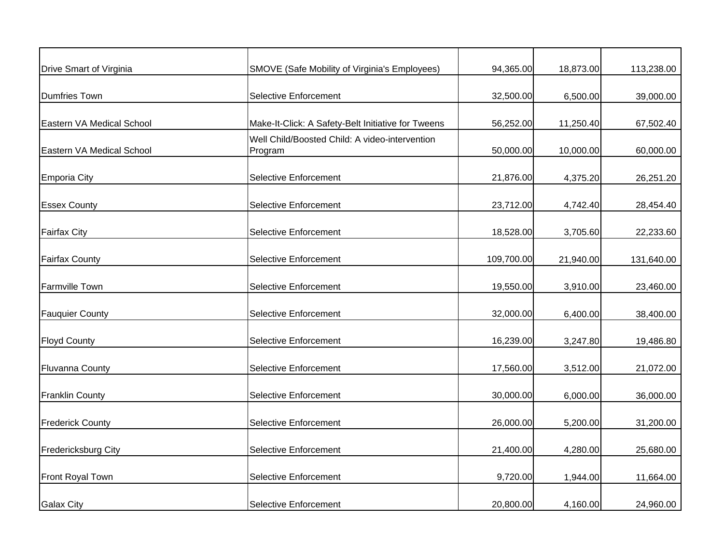| Drive Smart of Virginia    | <b>SMOVE (Safe Mobility of Virginia's Employees)</b>      | 94,365.00  | 18,873.00 | 113,238.00 |
|----------------------------|-----------------------------------------------------------|------------|-----------|------------|
| <b>Dumfries Town</b>       | <b>Selective Enforcement</b>                              | 32,500.00  | 6,500.00  | 39,000.00  |
| Eastern VA Medical School  | Make-It-Click: A Safety-Belt Initiative for Tweens        | 56,252.00  | 11,250.40 | 67,502.40  |
| Eastern VA Medical School  | Well Child/Boosted Child: A video-intervention<br>Program | 50,000.00  | 10,000.00 | 60,000.00  |
| <b>Emporia City</b>        | <b>Selective Enforcement</b>                              | 21,876.00  | 4,375.20  | 26,251.20  |
| <b>Essex County</b>        | <b>Selective Enforcement</b>                              | 23,712.00  | 4,742.40  | 28,454.40  |
| <b>Fairfax City</b>        | <b>Selective Enforcement</b>                              | 18,528.00  | 3,705.60  | 22,233.60  |
| <b>Fairfax County</b>      | <b>Selective Enforcement</b>                              | 109,700.00 | 21,940.00 | 131,640.00 |
| <b>Farmville Town</b>      | <b>Selective Enforcement</b>                              | 19,550.00  | 3,910.00  | 23,460.00  |
| <b>Fauquier County</b>     | <b>Selective Enforcement</b>                              | 32,000.00  | 6,400.00  | 38,400.00  |
| <b>Floyd County</b>        | Selective Enforcement                                     | 16,239.00  | 3,247.80  | 19,486.80  |
| <b>Fluvanna County</b>     | <b>Selective Enforcement</b>                              | 17,560.00  | 3,512.00  | 21,072.00  |
| <b>Franklin County</b>     | <b>Selective Enforcement</b>                              | 30,000.00  | 6,000.00  | 36,000.00  |
| <b>Frederick County</b>    | <b>Selective Enforcement</b>                              | 26,000.00  | 5,200.00  | 31,200.00  |
| <b>Fredericksburg City</b> | <b>Selective Enforcement</b>                              | 21,400.00  | 4,280.00  | 25,680.00  |
| Front Royal Town           | <b>Selective Enforcement</b>                              | 9,720.00   | 1,944.00  | 11,664.00  |
| <b>Galax City</b>          | <b>Selective Enforcement</b>                              | 20,800.00  | 4,160.00  | 24,960.00  |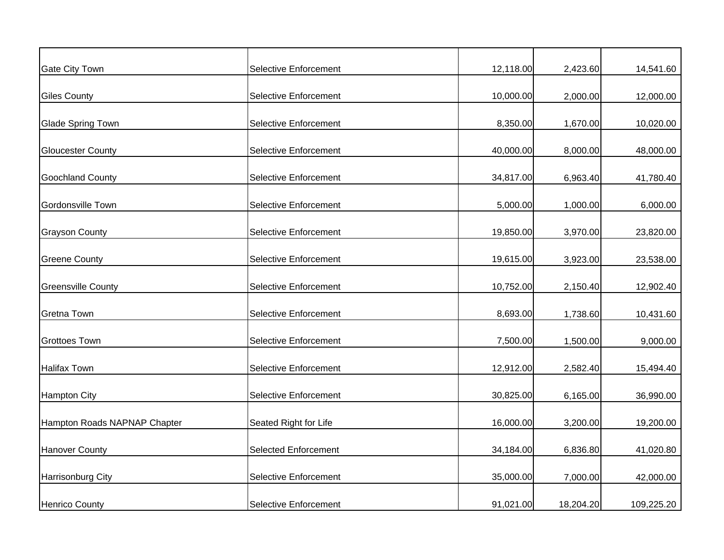| <b>Gate City Town</b>        | Selective Enforcement        | 12,118.00 | 2,423.60  | 14,541.60  |
|------------------------------|------------------------------|-----------|-----------|------------|
|                              |                              |           |           |            |
| <b>Giles County</b>          | <b>Selective Enforcement</b> | 10,000.00 | 2,000.00  | 12,000.00  |
| Glade Spring Town            | <b>Selective Enforcement</b> | 8,350.00  | 1,670.00  |            |
|                              |                              |           |           | 10,020.00  |
| <b>Gloucester County</b>     | <b>Selective Enforcement</b> | 40,000.00 | 8,000.00  | 48,000.00  |
| <b>Goochland County</b>      | <b>Selective Enforcement</b> | 34,817.00 | 6,963.40  | 41,780.40  |
|                              |                              |           |           |            |
| Gordonsville Town            | <b>Selective Enforcement</b> | 5,000.00  | 1,000.00  | 6,000.00   |
| <b>Grayson County</b>        | <b>Selective Enforcement</b> | 19,850.00 | 3,970.00  | 23,820.00  |
| <b>Greene County</b>         | <b>Selective Enforcement</b> |           | 3,923.00  |            |
|                              |                              | 19,615.00 |           | 23,538.00  |
| <b>Greensville County</b>    | <b>Selective Enforcement</b> | 10,752.00 | 2,150.40  | 12,902.40  |
| <b>Gretna Town</b>           | <b>Selective Enforcement</b> | 8,693.00  | 1,738.60  | 10,431.60  |
| <b>Grottoes Town</b>         | <b>Selective Enforcement</b> | 7,500.00  | 1,500.00  | 9,000.00   |
|                              |                              |           |           |            |
| <b>Halifax Town</b>          | <b>Selective Enforcement</b> | 12,912.00 | 2,582.40  | 15,494.40  |
| <b>Hampton City</b>          | <b>Selective Enforcement</b> | 30,825.00 | 6,165.00  | 36,990.00  |
|                              |                              |           |           |            |
| Hampton Roads NAPNAP Chapter | Seated Right for Life        | 16,000.00 | 3,200.00  | 19,200.00  |
| <b>Hanover County</b>        | <b>Selected Enforcement</b>  | 34,184.00 | 6,836.80  | 41,020.80  |
| <b>Harrisonburg City</b>     | <b>Selective Enforcement</b> | 35,000.00 | 7,000.00  | 42,000.00  |
|                              |                              |           |           |            |
| <b>Henrico County</b>        | <b>Selective Enforcement</b> | 91,021.00 | 18,204.20 | 109,225.20 |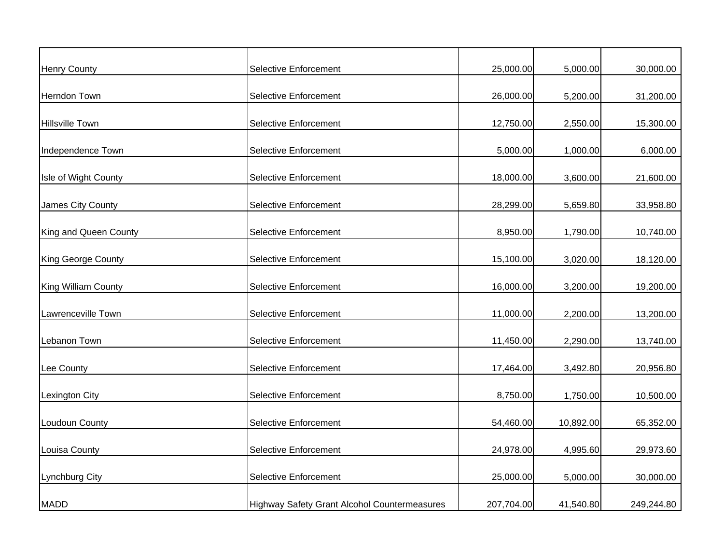| <b>Henry County</b>   | <b>Selective Enforcement</b>                 | 25,000.00  | 5,000.00  | 30,000.00  |
|-----------------------|----------------------------------------------|------------|-----------|------------|
|                       |                                              |            |           |            |
| Herndon Town          | <b>Selective Enforcement</b>                 | 26,000.00  | 5,200.00  | 31,200.00  |
| Hillsville Town       | <b>Selective Enforcement</b>                 | 12,750.00  | 2,550.00  | 15,300.00  |
| Independence Town     | Selective Enforcement                        | 5,000.00   | 1,000.00  | 6,000.00   |
| Isle of Wight County  | Selective Enforcement                        | 18,000.00  | 3,600.00  | 21,600.00  |
| James City County     | <b>Selective Enforcement</b>                 | 28,299.00  | 5,659.80  | 33,958.80  |
| King and Queen County | <b>Selective Enforcement</b>                 | 8,950.00   | 1,790.00  | 10,740.00  |
| King George County    | <b>Selective Enforcement</b>                 | 15,100.00  | 3,020.00  | 18,120.00  |
| King William County   | Selective Enforcement                        | 16,000.00  | 3,200.00  | 19,200.00  |
| Lawrenceville Town    | <b>Selective Enforcement</b>                 | 11,000.00  | 2,200.00  | 13,200.00  |
| Lebanon Town          | <b>Selective Enforcement</b>                 | 11,450.00  | 2,290.00  | 13,740.00  |
| Lee County            | <b>Selective Enforcement</b>                 | 17,464.00  | 3,492.80  | 20,956.80  |
| Lexington City        | <b>Selective Enforcement</b>                 | 8,750.00   | 1,750.00  | 10,500.00  |
| Loudoun County        | <b>Selective Enforcement</b>                 | 54,460.00  | 10,892.00 | 65,352.00  |
| Louisa County         | <b>Selective Enforcement</b>                 | 24,978.00  | 4,995.60  | 29,973.60  |
| Lynchburg City        | <b>Selective Enforcement</b>                 | 25,000.00  | 5,000.00  | 30,000.00  |
| <b>MADD</b>           | Highway Safety Grant Alcohol Countermeasures | 207,704.00 | 41,540.80 | 249,244.80 |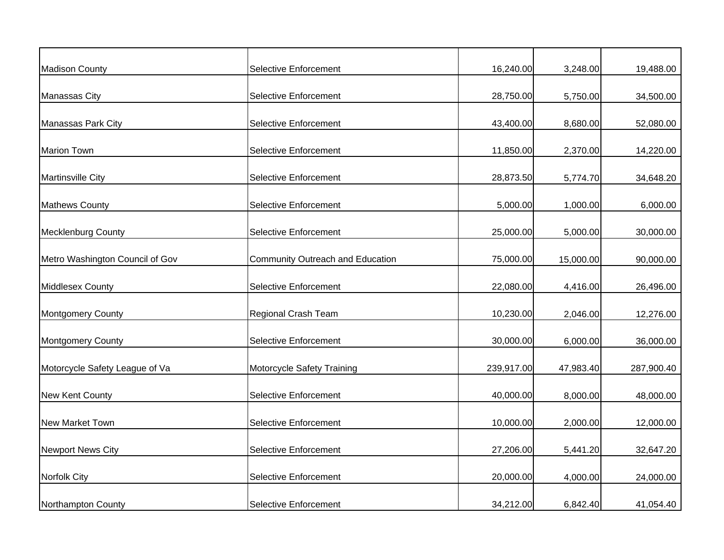| <b>Madison County</b>           | <b>Selective Enforcement</b>     | 16,240.00  | 3,248.00  | 19,488.00  |
|---------------------------------|----------------------------------|------------|-----------|------------|
| <b>Manassas City</b>            | <b>Selective Enforcement</b>     | 28,750.00  | 5,750.00  | 34,500.00  |
| Manassas Park City              | <b>Selective Enforcement</b>     | 43,400.00  | 8,680.00  | 52,080.00  |
| <b>Marion Town</b>              | Selective Enforcement            | 11,850.00  | 2,370.00  | 14,220.00  |
| <b>Martinsville City</b>        | <b>Selective Enforcement</b>     | 28,873.50  | 5,774.70  | 34,648.20  |
| <b>Mathews County</b>           | <b>Selective Enforcement</b>     | 5,000.00   | 1,000.00  | 6,000.00   |
| <b>Mecklenburg County</b>       | <b>Selective Enforcement</b>     | 25,000.00  | 5,000.00  | 30,000.00  |
| Metro Washington Council of Gov | Community Outreach and Education | 75,000.00  | 15,000.00 | 90,000.00  |
| <b>Middlesex County</b>         | Selective Enforcement            | 22,080.00  | 4,416.00  | 26,496.00  |
| <b>Montgomery County</b>        | Regional Crash Team              | 10,230.00  | 2,046.00  | 12,276.00  |
| <b>Montgomery County</b>        | <b>Selective Enforcement</b>     | 30,000.00  | 6,000.00  | 36,000.00  |
| Motorcycle Safety League of Va  | Motorcycle Safety Training       | 239,917.00 | 47,983.40 | 287,900.40 |
| <b>New Kent County</b>          | <b>Selective Enforcement</b>     | 40,000.00  | 8,000.00  | 48,000.00  |
| New Market Town                 | Selective Enforcement            | 10,000.00  | 2,000.00  | 12,000.00  |
| <b>Newport News City</b>        | <b>Selective Enforcement</b>     | 27,206.00  | 5,441.20  | 32,647.20  |
| Norfolk City                    | <b>Selective Enforcement</b>     | 20,000.00  | 4,000.00  | 24,000.00  |
| Northampton County              | <b>Selective Enforcement</b>     | 34,212.00  | 6,842.40  | 41,054.40  |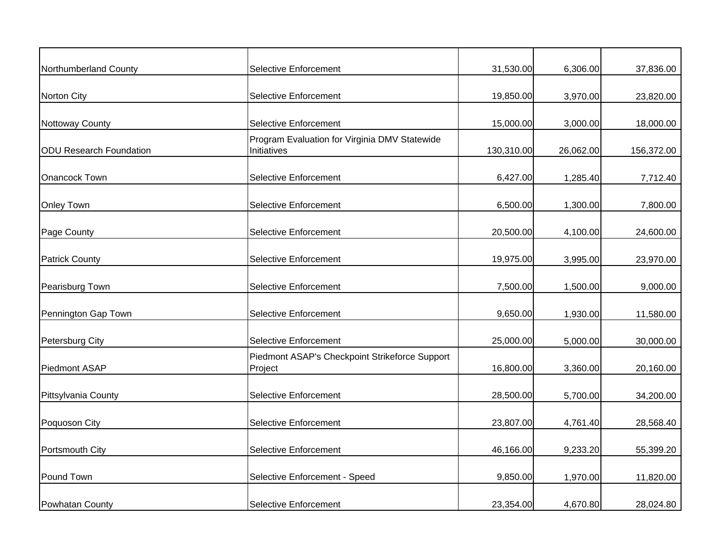| Northumberland County          | <b>Selective Enforcement</b>                                 | 31,530.00  | 6,306.00  | 37,836.00  |
|--------------------------------|--------------------------------------------------------------|------------|-----------|------------|
| <b>Norton City</b>             | <b>Selective Enforcement</b>                                 | 19,850.00  | 3,970.00  | 23,820.00  |
| Nottoway County                | <b>Selective Enforcement</b>                                 | 15,000.00  | 3,000.00  | 18,000.00  |
| <b>ODU Research Foundation</b> | Program Evaluation for Virginia DMV Statewide<br>Initiatives | 130,310.00 | 26,062.00 | 156,372.00 |
| Onancock Town                  | <b>Selective Enforcement</b>                                 | 6,427.00   | 1,285.40  | 7,712.40   |
| <b>Onley Town</b>              | <b>Selective Enforcement</b>                                 | 6,500.00   | 1,300.00  | 7,800.00   |
| Page County                    | <b>Selective Enforcement</b>                                 | 20,500.00  | 4,100.00  | 24,600.00  |
| <b>Patrick County</b>          | <b>Selective Enforcement</b>                                 | 19,975.00  | 3,995.00  | 23,970.00  |
| Pearisburg Town                | <b>Selective Enforcement</b>                                 | 7,500.00   | 1,500.00  | 9,000.00   |
| Pennington Gap Town            | <b>Selective Enforcement</b>                                 | 9,650.00   | 1,930.00  | 11,580.00  |
| Petersburg City                | <b>Selective Enforcement</b>                                 | 25,000.00  | 5,000.00  | 30,000.00  |
| Piedmont ASAP                  | Piedmont ASAP's Checkpoint Strikeforce Support<br>Project    | 16,800.00  | 3,360.00  | 20,160.00  |
| Pittsylvania County            | <b>Selective Enforcement</b>                                 | 28,500.00  | 5,700.00  | 34,200.00  |
| Poquoson City                  | <b>Selective Enforcement</b>                                 | 23,807.00  | 4,761.40  | 28,568.40  |
| Portsmouth City                | <b>Selective Enforcement</b>                                 | 46,166.00  | 9,233.20  | 55,399.20  |
| Pound Town                     | Selective Enforcement - Speed                                | 9,850.00   | 1,970.00  | 11,820.00  |
| Powhatan County                | <b>Selective Enforcement</b>                                 | 23,354.00  | 4,670.80  | 28,024.80  |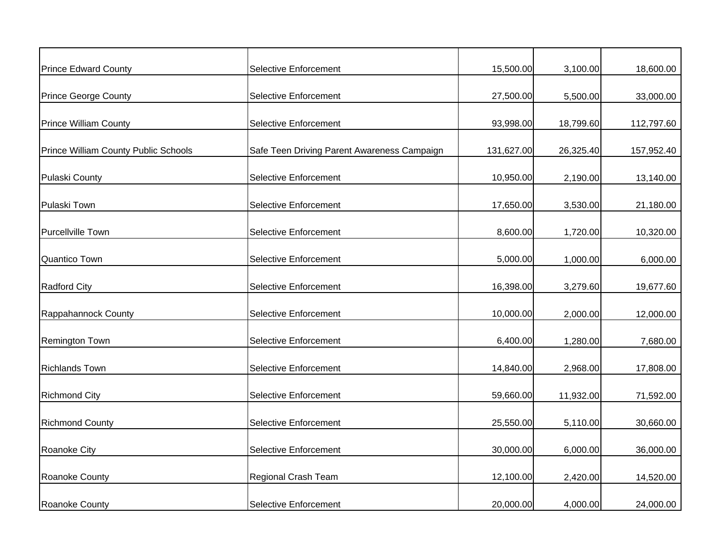| <b>Prince Edward County</b>                 | <b>Selective Enforcement</b>                | 15,500.00  | 3,100.00  | 18,600.00  |
|---------------------------------------------|---------------------------------------------|------------|-----------|------------|
|                                             |                                             |            |           |            |
| <b>Prince George County</b>                 | <b>Selective Enforcement</b>                | 27,500.00  | 5,500.00  | 33,000.00  |
| <b>Prince William County</b>                | <b>Selective Enforcement</b>                | 93,998.00  | 18,799.60 | 112,797.60 |
| <b>Prince William County Public Schools</b> | Safe Teen Driving Parent Awareness Campaign | 131,627.00 | 26,325.40 | 157,952.40 |
| <b>Pulaski County</b>                       | <b>Selective Enforcement</b>                | 10,950.00  | 2,190.00  | 13,140.00  |
| Pulaski Town                                | <b>Selective Enforcement</b>                | 17,650.00  | 3,530.00  | 21,180.00  |
| Purcellville Town                           | <b>Selective Enforcement</b>                | 8,600.00   | 1,720.00  | 10,320.00  |
| <b>Quantico Town</b>                        | <b>Selective Enforcement</b>                | 5,000.00   | 1,000.00  | 6,000.00   |
| <b>Radford City</b>                         | <b>Selective Enforcement</b>                | 16,398.00  | 3,279.60  | 19,677.60  |
| Rappahannock County                         | <b>Selective Enforcement</b>                | 10,000.00  | 2,000.00  | 12,000.00  |
| Remington Town                              | <b>Selective Enforcement</b>                | 6,400.00   | 1,280.00  | 7,680.00   |
| <b>Richlands Town</b>                       | <b>Selective Enforcement</b>                | 14,840.00  | 2,968.00  | 17,808.00  |
| <b>Richmond City</b>                        | <b>Selective Enforcement</b>                | 59,660.00  | 11,932.00 | 71,592.00  |
| <b>Richmond County</b>                      | <b>Selective Enforcement</b>                | 25,550.00  | 5,110.00  | 30,660.00  |
| <b>Roanoke City</b>                         | <b>Selective Enforcement</b>                | 30,000.00  | 6,000.00  | 36,000.00  |
| <b>Roanoke County</b>                       | Regional Crash Team                         | 12,100.00  | 2,420.00  | 14,520.00  |
| Roanoke County                              | <b>Selective Enforcement</b>                | 20,000.00  | 4,000.00  | 24,000.00  |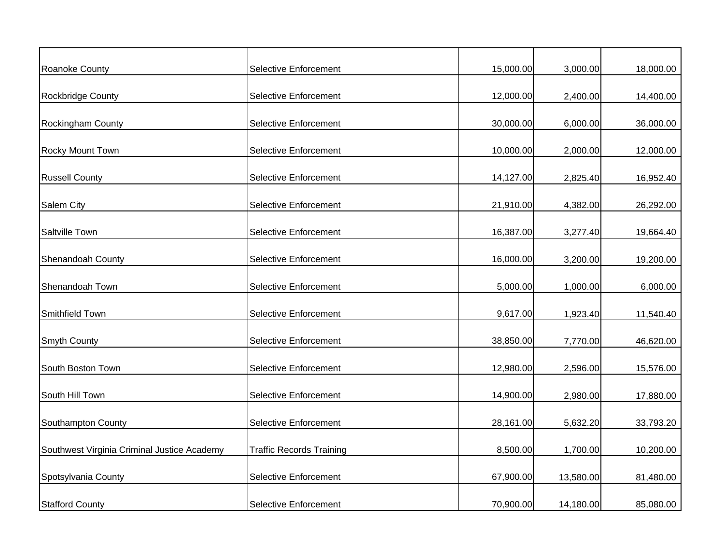| Roanoke County                              | <b>Selective Enforcement</b>    | 15,000.00 | 3,000.00  | 18,000.00 |
|---------------------------------------------|---------------------------------|-----------|-----------|-----------|
| Rockbridge County                           | <b>Selective Enforcement</b>    | 12,000.00 | 2,400.00  | 14,400.00 |
| <b>Rockingham County</b>                    | <b>Selective Enforcement</b>    | 30,000.00 | 6,000.00  | 36,000.00 |
| Rocky Mount Town                            | <b>Selective Enforcement</b>    | 10,000.00 | 2,000.00  | 12,000.00 |
| <b>Russell County</b>                       | <b>Selective Enforcement</b>    | 14,127.00 | 2,825.40  | 16,952.40 |
| <b>Salem City</b>                           | <b>Selective Enforcement</b>    | 21,910.00 | 4,382.00  | 26,292.00 |
| Saltville Town                              | <b>Selective Enforcement</b>    | 16,387.00 | 3,277.40  | 19,664.40 |
| <b>Shenandoah County</b>                    | <b>Selective Enforcement</b>    | 16,000.00 | 3,200.00  | 19,200.00 |
| Shenandoah Town                             | Selective Enforcement           | 5,000.00  | 1,000.00  | 6,000.00  |
| Smithfield Town                             | <b>Selective Enforcement</b>    | 9,617.00  | 1,923.40  | 11,540.40 |
|                                             | <b>Selective Enforcement</b>    | 38,850.00 | 7,770.00  | 46,620.00 |
| <b>Smyth County</b>                         |                                 |           |           |           |
| South Boston Town                           | <b>Selective Enforcement</b>    | 12,980.00 | 2,596.00  | 15,576.00 |
| South Hill Town                             | <b>Selective Enforcement</b>    | 14,900.00 | 2,980.00  | 17,880.00 |
| Southampton County                          | Selective Enforcement           | 28,161.00 | 5,632.20  | 33,793.20 |
| Southwest Virginia Criminal Justice Academy | <b>Traffic Records Training</b> | 8,500.00  | 1,700.00  | 10,200.00 |
| Spotsylvania County                         | <b>Selective Enforcement</b>    | 67,900.00 | 13,580.00 | 81,480.00 |
| <b>Stafford County</b>                      | Selective Enforcement           | 70,900.00 | 14,180.00 | 85,080.00 |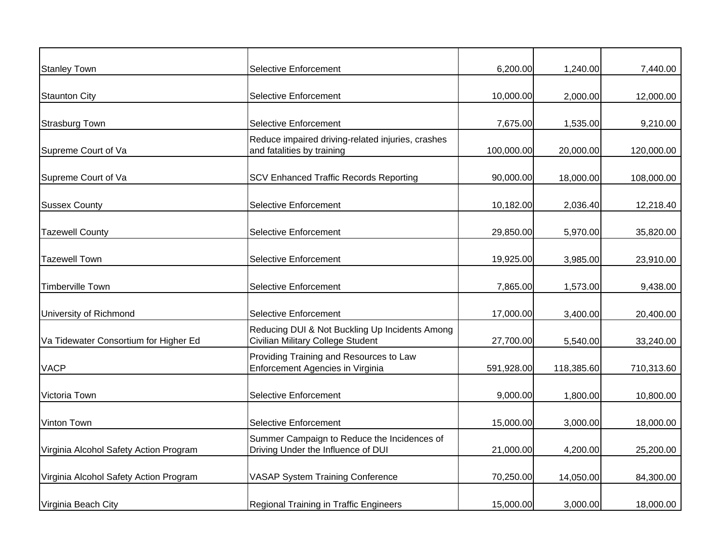| <b>Stanley Town</b>                    | <b>Selective Enforcement</b>                                                        | 6,200.00   | 1,240.00   | 7,440.00   |
|----------------------------------------|-------------------------------------------------------------------------------------|------------|------------|------------|
| <b>Staunton City</b>                   | <b>Selective Enforcement</b>                                                        | 10,000.00  | 2,000.00   | 12,000.00  |
| <b>Strasburg Town</b>                  | <b>Selective Enforcement</b>                                                        | 7,675.00   | 1,535.00   | 9,210.00   |
| Supreme Court of Va                    | Reduce impaired driving-related injuries, crashes<br>and fatalities by training     | 100,000.00 | 20,000.00  | 120,000.00 |
| Supreme Court of Va                    | <b>SCV Enhanced Traffic Records Reporting</b>                                       | 90,000.00  | 18,000.00  | 108,000.00 |
| <b>Sussex County</b>                   | <b>Selective Enforcement</b>                                                        | 10,182.00  | 2,036.40   | 12,218.40  |
| <b>Tazewell County</b>                 | <b>Selective Enforcement</b>                                                        | 29,850.00  | 5,970.00   | 35,820.00  |
| <b>Tazewell Town</b>                   | <b>Selective Enforcement</b>                                                        | 19,925.00  | 3,985.00   | 23,910.00  |
| Timberville Town                       | <b>Selective Enforcement</b>                                                        | 7,865.00   | 1,573.00   | 9,438.00   |
| University of Richmond                 | <b>Selective Enforcement</b>                                                        | 17,000.00  | 3,400.00   | 20,400.00  |
| Va Tidewater Consortium for Higher Ed  | Reducing DUI & Not Buckling Up Incidents Among<br>Civilian Military College Student | 27,700.00  | 5,540.00   | 33,240.00  |
| <b>VACP</b>                            | Providing Training and Resources to Law<br>Enforcement Agencies in Virginia         | 591,928.00 | 118,385.60 | 710,313.60 |
| Victoria Town                          | <b>Selective Enforcement</b>                                                        | 9,000.00   | 1,800.00   | 10,800.00  |
| Vinton Town                            | Selective Enforcement                                                               | 15,000.00  | 3,000.00   | 18,000.00  |
| Virginia Alcohol Safety Action Program | Summer Campaign to Reduce the Incidences of<br>Driving Under the Influence of DUI   | 21,000.00  | 4,200.00   | 25,200.00  |
| Virginia Alcohol Safety Action Program | <b>VASAP System Training Conference</b>                                             | 70,250.00  | 14,050.00  | 84,300.00  |
| Virginia Beach City                    | Regional Training in Traffic Engineers                                              | 15,000.00  | 3,000.00   | 18,000.00  |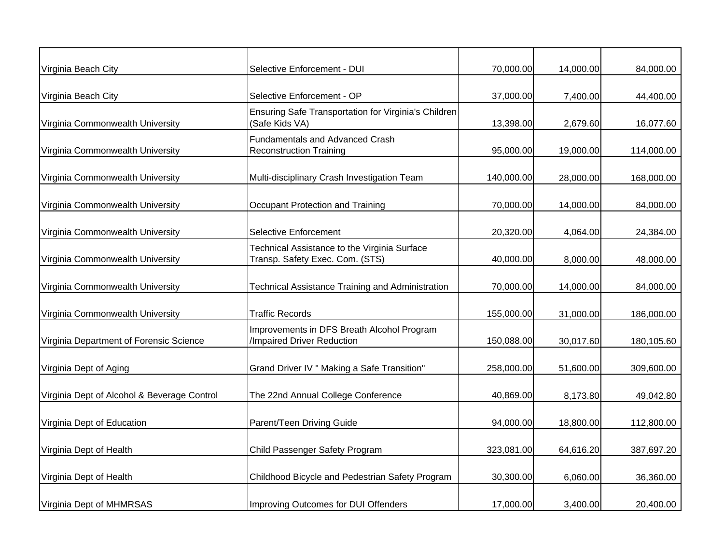| Virginia Beach City                         | Selective Enforcement - DUI                                                     | 70,000.00  | 14,000.00 | 84,000.00  |
|---------------------------------------------|---------------------------------------------------------------------------------|------------|-----------|------------|
| Virginia Beach City                         | Selective Enforcement - OP                                                      | 37,000.00  | 7,400.00  | 44,400.00  |
| Virginia Commonwealth University            | Ensuring Safe Transportation for Virginia's Children<br>(Safe Kids VA)          | 13,398.00  | 2,679.60  | 16,077.60  |
| Virginia Commonwealth University            | <b>Fundamentals and Advanced Crash</b><br><b>Reconstruction Training</b>        | 95,000.00  | 19,000.00 | 114,000.00 |
| Virginia Commonwealth University            | Multi-disciplinary Crash Investigation Team                                     | 140,000.00 | 28,000.00 | 168,000.00 |
| Virginia Commonwealth University            | Occupant Protection and Training                                                | 70,000.00  | 14,000.00 | 84,000.00  |
| Virginia Commonwealth University            | <b>Selective Enforcement</b>                                                    | 20,320.00  | 4,064.00  | 24,384.00  |
| Virginia Commonwealth University            | Technical Assistance to the Virginia Surface<br>Transp. Safety Exec. Com. (STS) | 40,000.00  | 8,000.00  | 48,000.00  |
| Virginia Commonwealth University            | <b>Technical Assistance Training and Administration</b>                         | 70,000.00  | 14,000.00 | 84,000.00  |
| Virginia Commonwealth University            | <b>Traffic Records</b>                                                          | 155,000.00 | 31,000.00 | 186,000.00 |
| Virginia Department of Forensic Science     | Improvements in DFS Breath Alcohol Program<br>/Impaired Driver Reduction        | 150,088.00 | 30,017.60 | 180,105.60 |
| Virginia Dept of Aging                      | Grand Driver IV " Making a Safe Transition"                                     | 258,000.00 | 51,600.00 | 309,600.00 |
| Virginia Dept of Alcohol & Beverage Control | The 22nd Annual College Conference                                              | 40,869.00  | 8,173.80  | 49,042.80  |
| Virginia Dept of Education                  | Parent/Teen Driving Guide                                                       | 94,000.00  | 18,800.00 | 112,800.00 |
| Virginia Dept of Health                     | Child Passenger Safety Program                                                  | 323,081.00 | 64,616.20 | 387,697.20 |
| Virginia Dept of Health                     | Childhood Bicycle and Pedestrian Safety Program                                 | 30,300.00  | 6,060.00  | 36,360.00  |
| Virginia Dept of MHMRSAS                    | Improving Outcomes for DUI Offenders                                            | 17,000.00  | 3,400.00  | 20,400.00  |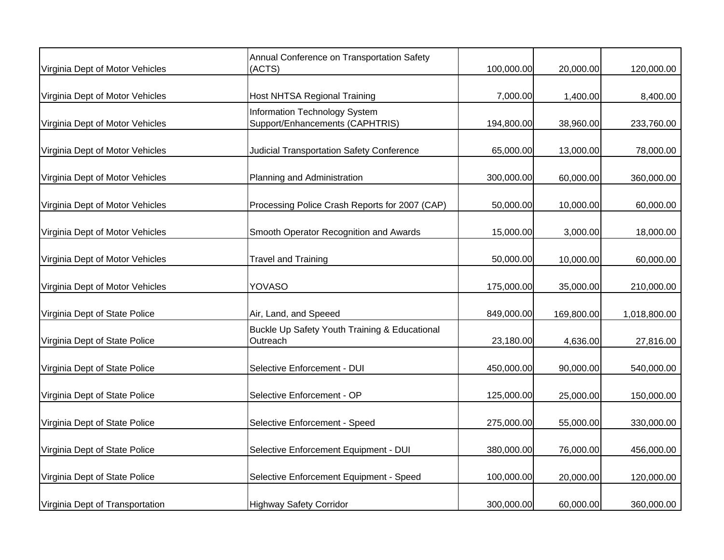| Virginia Dept of Motor Vehicles | Annual Conference on Transportation Safety<br>(ACTS)                    | 100,000.00 | 20,000.00  | 120,000.00   |
|---------------------------------|-------------------------------------------------------------------------|------------|------------|--------------|
| Virginia Dept of Motor Vehicles | <b>Host NHTSA Regional Training</b>                                     | 7,000.00   | 1,400.00   | 8,400.00     |
| Virginia Dept of Motor Vehicles | <b>Information Technology System</b><br>Support/Enhancements (CAPHTRIS) | 194,800.00 | 38,960.00  | 233,760.00   |
| Virginia Dept of Motor Vehicles | <b>Judicial Transportation Safety Conference</b>                        | 65,000.00  | 13,000.00  | 78,000.00    |
| Virginia Dept of Motor Vehicles | Planning and Administration                                             | 300,000.00 | 60,000.00  | 360,000.00   |
| Virginia Dept of Motor Vehicles | Processing Police Crash Reports for 2007 (CAP)                          | 50,000.00  | 10,000.00  | 60,000.00    |
| Virginia Dept of Motor Vehicles | Smooth Operator Recognition and Awards                                  | 15,000.00  | 3,000.00   | 18,000.00    |
| Virginia Dept of Motor Vehicles | <b>Travel and Training</b>                                              | 50,000.00  | 10,000.00  | 60,000.00    |
| Virginia Dept of Motor Vehicles | <b>YOVASO</b>                                                           | 175,000.00 | 35,000.00  | 210,000.00   |
| Virginia Dept of State Police   | Air, Land, and Speeed                                                   | 849,000.00 | 169,800.00 | 1,018,800.00 |
| Virginia Dept of State Police   | Buckle Up Safety Youth Training & Educational<br>Outreach               | 23,180.00  | 4,636.00   | 27,816.00    |
| Virginia Dept of State Police   | Selective Enforcement - DUI                                             | 450,000.00 | 90,000.00  | 540,000.00   |
| Virginia Dept of State Police   | Selective Enforcement - OP                                              | 125,000.00 | 25,000.00  | 150,000.00   |
| Virginia Dept of State Police   | Selective Enforcement - Speed                                           | 275,000.00 | 55,000.00  | 330,000.00   |
| Virginia Dept of State Police   | Selective Enforcement Equipment - DUI                                   | 380,000.00 | 76,000.00  | 456,000.00   |
| Virginia Dept of State Police   | Selective Enforcement Equipment - Speed                                 | 100,000.00 | 20,000.00  | 120,000.00   |
| Virginia Dept of Transportation | <b>Highway Safety Corridor</b>                                          | 300,000.00 | 60,000.00  | 360,000.00   |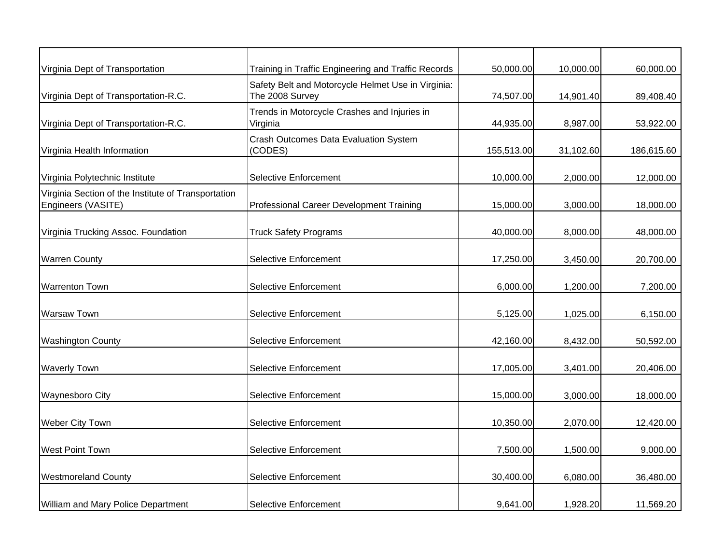| Virginia Dept of Transportation                                           | Training in Traffic Engineering and Traffic Records                   | 50,000.00  | 10,000.00 | 60,000.00  |
|---------------------------------------------------------------------------|-----------------------------------------------------------------------|------------|-----------|------------|
| Virginia Dept of Transportation-R.C.                                      | Safety Belt and Motorcycle Helmet Use in Virginia:<br>The 2008 Survey | 74,507.00  | 14,901.40 | 89,408.40  |
| Virginia Dept of Transportation-R.C.                                      | Trends in Motorcycle Crashes and Injuries in<br>Virginia              | 44,935.00  | 8,987.00  | 53,922.00  |
| Virginia Health Information                                               | <b>Crash Outcomes Data Evaluation System</b><br>(CODES)               | 155,513.00 | 31,102.60 | 186,615.60 |
| Virginia Polytechnic Institute                                            | <b>Selective Enforcement</b>                                          | 10,000.00  | 2,000.00  | 12,000.00  |
| Virginia Section of the Institute of Transportation<br>Engineers (VASITE) | Professional Career Development Training                              | 15,000.00  | 3,000.00  | 18,000.00  |
| Virginia Trucking Assoc. Foundation                                       | <b>Truck Safety Programs</b>                                          | 40,000.00  | 8,000.00  | 48,000.00  |
| <b>Warren County</b>                                                      | <b>Selective Enforcement</b>                                          | 17,250.00  | 3,450.00  | 20,700.00  |
| <b>Warrenton Town</b>                                                     | <b>Selective Enforcement</b>                                          | 6,000.00   | 1,200.00  | 7,200.00   |
| <b>Warsaw Town</b>                                                        | <b>Selective Enforcement</b>                                          | 5,125.00   | 1,025.00  | 6,150.00   |
| <b>Washington County</b>                                                  | <b>Selective Enforcement</b>                                          | 42,160.00  | 8,432.00  | 50,592.00  |
| <b>Waverly Town</b>                                                       | Selective Enforcement                                                 | 17,005.00  | 3,401.00  | 20,406.00  |
| <b>Waynesboro City</b>                                                    | <b>Selective Enforcement</b>                                          | 15,000.00  | 3,000.00  | 18,000.00  |
| Weber City Town                                                           | <b>Selective Enforcement</b>                                          | 10,350.00  | 2,070.00  | 12,420.00  |
| <b>West Point Town</b>                                                    | <b>Selective Enforcement</b>                                          | 7,500.00   | 1,500.00  | 9,000.00   |
| <b>Westmoreland County</b>                                                | <b>Selective Enforcement</b>                                          | 30,400.00  | 6,080.00  | 36,480.00  |
| <b>William and Mary Police Department</b>                                 | <b>Selective Enforcement</b>                                          | 9,641.00   | 1,928.20  | 11,569.20  |